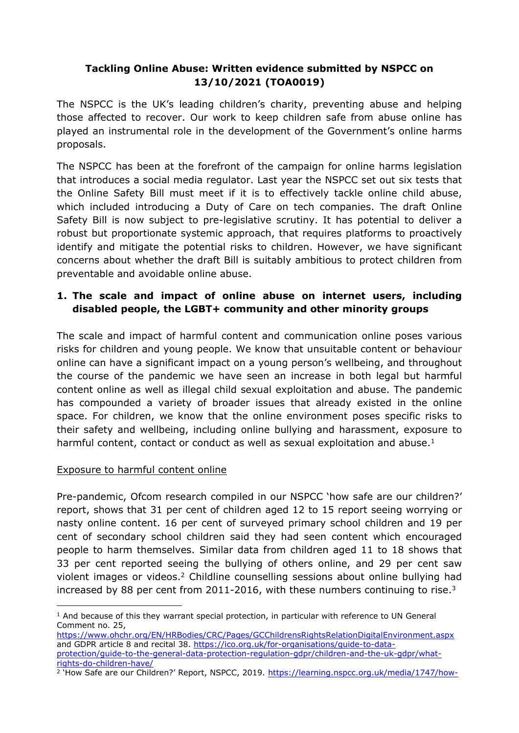## **Tackling Online Abuse: Written evidence submitted by NSPCC on 13/10/2021 (TOA0019)**

The NSPCC is the UK's leading children's charity, preventing abuse and helping those affected to recover. Our work to keep children safe from abuse online has played an instrumental role in the development of the Government's online harms proposals.

The NSPCC has been at the forefront of the campaign for online harms legislation that introduces a social media regulator. Last year the NSPCC set out six tests that the Online Safety Bill must meet if it is to effectively tackle online child abuse, which included introducing a Duty of Care on tech companies. The draft Online Safety Bill is now subject to pre-legislative scrutiny. It has potential to deliver a robust but proportionate systemic approach, that requires platforms to proactively identify and mitigate the potential risks to children. However, we have significant concerns about whether the draft Bill is suitably ambitious to protect children from preventable and avoidable online abuse.

# **1. The scale and impact of online abuse on internet users, including disabled people, the LGBT+ community and other minority groups**

The scale and impact of harmful content and communication online poses various risks for children and young people. We know that unsuitable content or behaviour online can have a significant impact on a young person's wellbeing, and throughout the course of the pandemic we have seen an increase in both legal but harmful content online as well as illegal child sexual exploitation and abuse. The pandemic has compounded a variety of broader issues that already existed in the online space. For children, we know that the online environment poses specific risks to their safety and wellbeing, including online bullying and harassment, exposure to harmful content, contact or conduct as well as sexual exploitation and abuse. $1$ 

## Exposure to harmful content online

Pre-pandemic, Ofcom research compiled in our NSPCC 'how safe are our children?' report, shows that 31 per cent of children aged 12 to 15 report seeing worrying or nasty online content. 16 per cent of surveyed primary school children and 19 per cent of secondary school children said they had seen content which encouraged people to harm themselves. Similar data from children aged 11 to 18 shows that 33 per cent reported seeing the bullying of others online, and 29 per cent saw violent images or videos.<sup>2</sup> Childline counselling sessions about online bullying had increased by 88 per cent from 2011-2016, with these numbers continuing to rise.<sup>3</sup>

<https://www.ohchr.org/EN/HRBodies/CRC/Pages/GCChildrensRightsRelationDigitalEnvironment.aspx> and GDPR article 8 and recital 38. [https://ico.org.uk/for-organisations/guide-to-data](https://ico.org.uk/for-organisations/guide-to-data-protection/guide-to-the-general-data-protection-regulation-gdpr/children-and-the-uk-gdpr/what-rights-do-children-have/)[protection/guide-to-the-general-data-protection-regulation-gdpr/children-and-the-uk-gdpr/what](https://ico.org.uk/for-organisations/guide-to-data-protection/guide-to-the-general-data-protection-regulation-gdpr/children-and-the-uk-gdpr/what-rights-do-children-have/)[rights-do-children-have/](https://ico.org.uk/for-organisations/guide-to-data-protection/guide-to-the-general-data-protection-regulation-gdpr/children-and-the-uk-gdpr/what-rights-do-children-have/)

 $<sup>1</sup>$  And because of this they warrant special protection, in particular with reference to UN General</sup> Comment no. 25,

<sup>&</sup>lt;sup>2</sup> 'How Safe are our Children?' Report, NSPCC, 2019. [https://learning.nspcc.org.uk/media/1747/how-](https://learning.nspcc.org.uk/media/1747/how-safe-are-our-children-2019.pdf)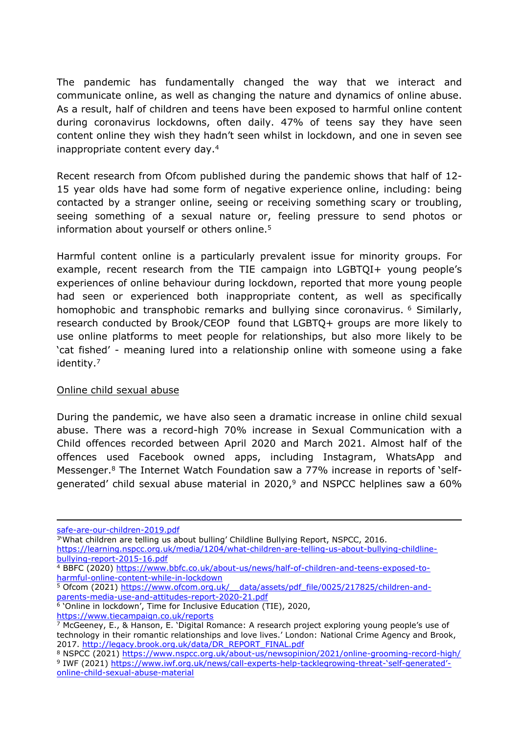The pandemic has fundamentally changed the way that we interact and communicate online, as well as changing the nature and dynamics of online abuse. As a result, half of children and teens have been exposed to harmful online content during coronavirus lockdowns, often daily. 47% of teens say they have seen content online they wish they hadn't seen whilst in lockdown, and one in seven see inappropriate content every day.<sup>4</sup>

Recent research from Ofcom published during the pandemic shows that half of 12- 15 year olds have had some form of negative experience online, including: being contacted by a stranger online, seeing or receiving something scary or troubling, seeing something of a sexual nature or, feeling pressure to send photos or information about yourself or others online.<sup>5</sup>

Harmful content online is a particularly prevalent issue for minority groups. For example, recent research from the TIE campaign into LGBTQI+ young people's experiences of online behaviour during lockdown, reported that more young people had seen or experienced both inappropriate content, as well as specifically homophobic and transphobic remarks and bullying since coronavirus. <sup>6</sup> Similarly, research conducted by Brook/CEOP found that LGBTQ+ groups are more likely to use online platforms to meet people for relationships, but also more likely to be 'cat fished' - meaning lured into a relationship online with someone using a fake identity.<sup>7</sup>

#### Online child sexual abuse

During the pandemic, we have also seen a dramatic increase in online child sexual abuse. There was a record-high 70% increase in Sexual Communication with a Child offences recorded between April 2020 and March 2021. Almost half of the offences used Facebook owned apps, including Instagram, WhatsApp and Messenger.<sup>8</sup> The Internet Watch Foundation saw a 77% increase in reports of 'selfgenerated' child sexual abuse material in 2020, $9$  and NSPCC helplines saw a 60%

[safe-are-our-children-2019.pdf](https://learning.nspcc.org.uk/media/1747/how-safe-are-our-children-2019.pdf)

<sup>3&#</sup>x27;What children are telling us about bulling' Childline Bullying Report, NSPCC, 2016.

[https://learning.nspcc.org.uk/media/1204/what-children-are-telling-us-about-bullying-childline](https://learning.nspcc.org.uk/media/1204/what-children-are-telling-us-about-bullying-childline-bullying-report-2015-16.pdf)[bullying-report-2015-16.pdf](https://learning.nspcc.org.uk/media/1204/what-children-are-telling-us-about-bullying-childline-bullying-report-2015-16.pdf)

<sup>4</sup> BBFC (2020) [https://www.bbfc.co.uk/about-us/news/half-of-children-and-teens-exposed-to](https://www.bbfc.co.uk/about-us/news/half-of-children-and-teens-exposed-to-harmful-online-content-while-in-lockdown)[harmful-online-content-while-in-lockdown](https://www.bbfc.co.uk/about-us/news/half-of-children-and-teens-exposed-to-harmful-online-content-while-in-lockdown)

<sup>5</sup> Ofcom (2021) https://www.ofcom.org.uk/ data/assets/pdf\_file/0025/217825/children-and[parents-media-use-and-attitudes-report-2020-21.pdf](https://www.ofcom.org.uk/__data/assets/pdf_file/0025/217825/children-and-parents-media-use-and-attitudes-report-2020-21.pdf)

<sup>6</sup> 'Online in lockdown', Time for Inclusive Education (TIE), 2020, <https://www.tiecampaign.co.uk/reports>

 $\frac{7}{2}$  McGeeney, E., & Hanson, E. 'Digital Romance: A research project exploring young people's use of technology in their romantic relationships and love lives.' London: National Crime Agency and Brook, 2017. [http://legacy.brook.org.uk/data/DR\\_REPORT\\_FINAL.pdf](http://legacy.brook.org.uk/data/DR_REPORT_FINAL.pdf)

<sup>8</sup> NSPCC (2021) <https://www.nspcc.org.uk/about-us/newsopinion/2021/online-grooming-record-high/> <sup>9</sup> IWF (2021) [https://www.iwf.org.uk/news/call-experts-help-tacklegrowing-threat-'self-generated'](https://www.iwf.org.uk/news/call-experts-help-tacklegrowing-threat-) [online-child-sexual-abuse-material](https://www.iwf.org.uk/news/call-experts-help-tacklegrowing-threat-)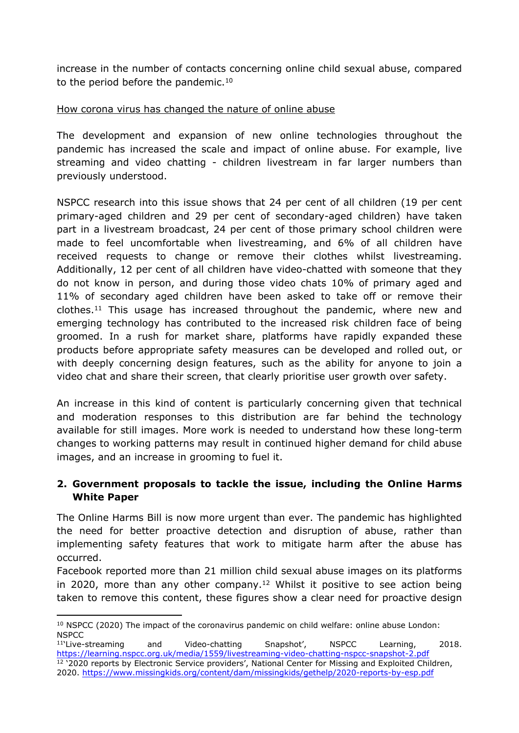increase in the number of contacts concerning online child sexual abuse, compared to the period before the pandemic.<sup>10</sup>

#### How corona virus has changed the nature of online abuse

The development and expansion of new online technologies throughout the pandemic has increased the scale and impact of online abuse. For example, live streaming and video chatting - children livestream in far larger numbers than previously understood.

NSPCC research into this issue shows that 24 per cent of all children (19 per cent primary-aged children and 29 per cent of secondary-aged children) have taken part in a livestream broadcast, 24 per cent of those primary school children were made to feel uncomfortable when livestreaming, and 6% of all children have received requests to change or remove their clothes whilst livestreaming. Additionally, 12 per cent of all children have video-chatted with someone that they do not know in person, and during those video chats 10% of primary aged and 11% of secondary aged children have been asked to take off or remove their clothes.<sup>11</sup> This usage has increased throughout the pandemic, where new and emerging technology has contributed to the increased risk children face of being groomed. In a rush for market share, platforms have rapidly expanded these products before appropriate safety measures can be developed and rolled out, or with deeply concerning design features, such as the ability for anyone to join a video chat and share their screen, that clearly prioritise user growth over safety.

An increase in this kind of content is particularly concerning given that technical and moderation responses to this distribution are far behind the technology available for still images. More work is needed to understand how these long-term changes to working patterns may result in continued higher demand for child abuse images, and an increase in grooming to fuel it.

## **2. Government proposals to tackle the issue, including the Online Harms White Paper**

The Online Harms Bill is now more urgent than ever. The pandemic has highlighted the need for better proactive detection and disruption of abuse, rather than implementing safety features that work to mitigate harm after the abuse has occurred.

Facebook reported more than 21 million child sexual abuse images on its platforms in 2020, more than any other company.<sup>12</sup> Whilst it positive to see action being taken to remove this content, these figures show a clear need for proactive design

<sup>11</sup>'Live-streaming and Video-chatting Snapshot', NSPCC Learning, 2018. <https://learning.nspcc.org.uk/media/1559/livestreaming-video-chatting-nspcc-snapshot-2.pdf> <sup>12</sup> '2020 reports by Electronic Service providers', National Center for Missing and Exploited Children, 2020. <https://www.missingkids.org/content/dam/missingkids/gethelp/2020-reports-by-esp.pdf>

<sup>&</sup>lt;sup>10</sup> NSPCC (2020) The impact of the coronavirus pandemic on child welfare: online abuse London: **NSPCC**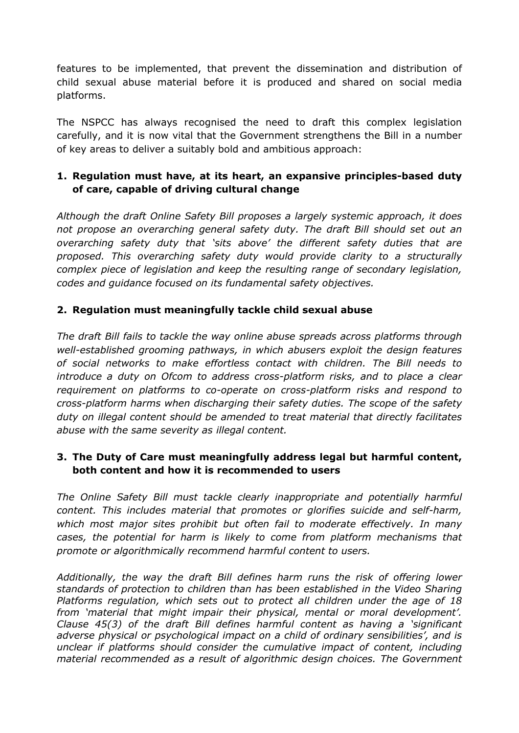features to be implemented, that prevent the dissemination and distribution of child sexual abuse material before it is produced and shared on social media platforms.

The NSPCC has always recognised the need to draft this complex legislation carefully, and it is now vital that the Government strengthens the Bill in a number of key areas to deliver a suitably bold and ambitious approach:

## **1. Regulation must have, at its heart, an expansive principles-based duty of care, capable of driving cultural change**

*Although the draft Online Safety Bill proposes a largely systemic approach, it does not propose an overarching general safety duty. The draft Bill should set out an overarching safety duty that 'sits above' the different safety duties that are proposed. This overarching safety duty would provide clarity to a structurally complex piece of legislation and keep the resulting range of secondary legislation, codes and guidance focused on its fundamental safety objectives.*

## **2. Regulation must meaningfully tackle child sexual abuse**

*The draft Bill fails to tackle the way online abuse spreads across platforms through well-established grooming pathways, in which abusers exploit the design features of social networks to make effortless contact with children. The Bill needs to introduce a duty on Ofcom to address cross-platform risks, and to place a clear requirement on platforms to co-operate on cross-platform risks and respond to cross-platform harms when discharging their safety duties. The scope of the safety duty on illegal content should be amended to treat material that directly facilitates abuse with the same severity as illegal content.*

## **3. The Duty of Care must meaningfully address legal but harmful content, both content and how it is recommended to users**

*The Online Safety Bill must tackle clearly inappropriate and potentially harmful content. This includes material that promotes or glorifies suicide and self-harm, which most major sites prohibit but often fail to moderate effectively. In many cases, the potential for harm is likely to come from platform mechanisms that promote or algorithmically recommend harmful content to users.*

*Additionally, the way the draft Bill defines harm runs the risk of offering lower standards of protection to children than has been established in the Video Sharing Platforms regulation, which sets out to protect all children under the age of 18 from 'material that might impair their physical, mental or moral development'. Clause 45(3) of the draft Bill defines harmful content as having a 'significant adverse physical or psychological impact on a child of ordinary sensibilities', and is unclear if platforms should consider the cumulative impact of content, including material recommended as a result of algorithmic design choices. The Government*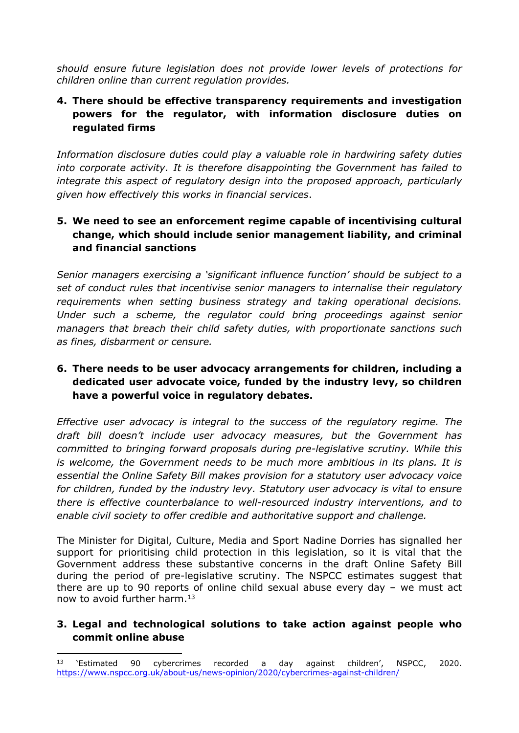*should ensure future legislation does not provide lower levels of protections for children online than current regulation provides.*

### **4. There should be effective transparency requirements and investigation powers for the regulator, with information disclosure duties on regulated firms**

*Information disclosure duties could play a valuable role in hardwiring safety duties into corporate activity. It is therefore disappointing the Government has failed to integrate this aspect of regulatory design into the proposed approach, particularly given how effectively this works in financial services*.

### **5. We need to see an enforcement regime capable of incentivising cultural change, which should include senior management liability, and criminal and financial sanctions**

*Senior managers exercising a 'significant influence function' should be subject to a set of conduct rules that incentivise senior managers to internalise their regulatory requirements when setting business strategy and taking operational decisions. Under such a scheme, the regulator could bring proceedings against senior managers that breach their child safety duties, with proportionate sanctions such as fines, disbarment or censure.*

### **6. There needs to be user advocacy arrangements for children, including a dedicated user advocate voice, funded by the industry levy, so children have a powerful voice in regulatory debates.**

*Effective user advocacy is integral to the success of the regulatory regime. The draft bill doesn't include user advocacy measures, but the Government has committed to bringing forward proposals during pre-legislative scrutiny. While this is welcome, the Government needs to be much more ambitious in its plans. It is essential the Online Safety Bill makes provision for a statutory user advocacy voice for children, funded by the industry levy. Statutory user advocacy is vital to ensure there is effective counterbalance to well-resourced industry interventions, and to enable civil society to offer credible and authoritative support and challenge.*

The Minister for Digital, Culture, Media and Sport Nadine Dorries has signalled her support for prioritising child protection in this legislation, so it is vital that the Government address these substantive concerns in the draft Online Safety Bill during the period of pre-legislative scrutiny. The NSPCC estimates suggest that there are up to 90 reports of online child sexual abuse every day – we must act now to avoid further harm.<sup>13</sup>

## **3. Legal and technological solutions to take action against people who commit online abuse**

<sup>13</sup> 'Estimated 90 cybercrimes recorded a day against children', NSPCC, 2020. <https://www.nspcc.org.uk/about-us/news-opinion/2020/cybercrimes-against-children/>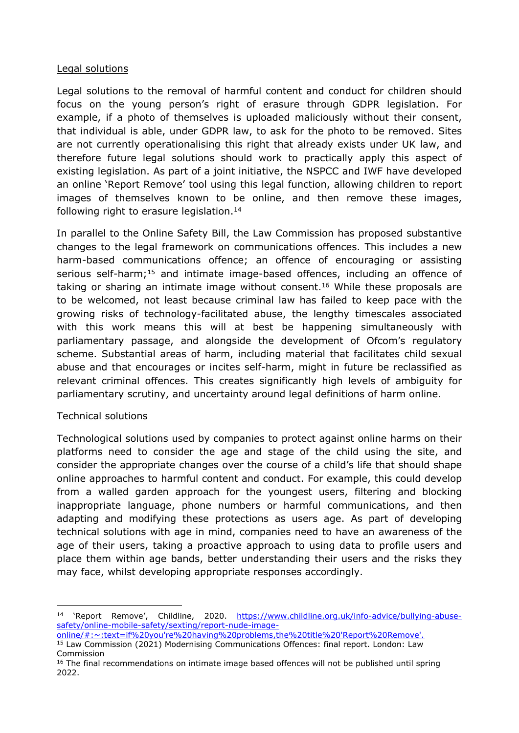#### Legal solutions

Legal solutions to the removal of harmful content and conduct for children should focus on the young person's right of erasure through GDPR legislation. For example, if a photo of themselves is uploaded maliciously without their consent, that individual is able, under GDPR law, to ask for the photo to be removed. Sites are not currently operationalising this right that already exists under UK law, and therefore future legal solutions should work to practically apply this aspect of existing legislation. As part of a joint initiative, the NSPCC and IWF have developed an online 'Report Remove' tool using this legal function, allowing children to report images of themselves known to be online, and then remove these images, following right to erasure legislation.<sup>14</sup>

In parallel to the Online Safety Bill, the Law Commission has proposed substantive changes to the legal framework on communications offences. This includes a new harm-based communications offence; an offence of encouraging or assisting serious self-harm;<sup>15</sup> and intimate image-based offences, including an offence of taking or sharing an intimate image without consent.<sup>16</sup> While these proposals are to be welcomed, not least because criminal law has failed to keep pace with the growing risks of technology-facilitated abuse, the lengthy timescales associated with this work means this will at best be happening simultaneously with parliamentary passage, and alongside the development of Ofcom's regulatory scheme. Substantial areas of harm, including material that facilitates child sexual abuse and that encourages or incites self-harm, might in future be reclassified as relevant criminal offences. This creates significantly high levels of ambiguity for parliamentary scrutiny, and uncertainty around legal definitions of harm online.

#### Technical solutions

Technological solutions used by companies to protect against online harms on their platforms need to consider the age and stage of the child using the site, and consider the appropriate changes over the course of a child's life that should shape online approaches to harmful content and conduct. For example, this could develop from a walled garden approach for the youngest users, filtering and blocking inappropriate language, phone numbers or harmful communications, and then adapting and modifying these protections as users age. As part of developing technical solutions with age in mind, companies need to have an awareness of the age of their users, taking a proactive approach to using data to profile users and place them within age bands, better understanding their users and the risks they may face, whilst developing appropriate responses accordingly.

<sup>14 &#</sup>x27;Report Remove', Childline, 2020. [https://www.childline.org.uk/info-advice/bullying-abuse](https://www.childline.org.uk/info-advice/bullying-abuse-safety/online-mobile-safety/sexting/report-nude-image-online/#:~:text=if%20you)[safety/online-mobile-safety/sexting/report-nude-image-](https://www.childline.org.uk/info-advice/bullying-abuse-safety/online-mobile-safety/sexting/report-nude-image-online/#:~:text=if%20you)

[online/#:~:text=if%20you're%20having%20problems,the%20title%20'Report%20Remove'.](https://www.childline.org.uk/info-advice/bullying-abuse-safety/online-mobile-safety/sexting/report-nude-image-online/#:~:text=if%20you) <sup>15</sup> Law Commission (2021) Modernising Communications Offences: final report. London: Law Commission

<sup>&</sup>lt;sup>16</sup> The final recommendations on intimate image based offences will not be published until spring 2022.